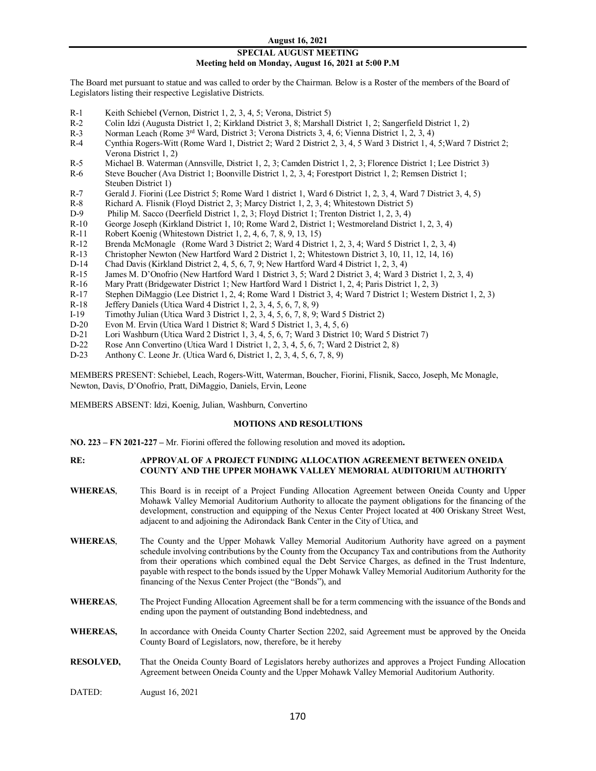#### **August 16, 2021**

## **SPECIAL AUGUST MEETING Meeting held on Monday, August 16, 2021 at 5:00 P.M**

The Board met pursuant to statue and was called to order by the Chairman. Below is a Roster of the members of the Board of Legislators listing their respective Legislative Districts.

- R-1 Keith Schiebel **(**Vernon, District 1, 2, 3, 4, 5; Verona, District 5)
- R-2 Colin Idzi (Augusta District 1, 2; Kirkland District 3, 8; Marshall District 1, 2; Sangerfield District 1, 2)
- R-3 Norman Leach (Rome <sup>3rd</sup> Ward, District 3; Verona Districts 3, 4, 6; Vienna District 1, 2, 3, 4)<br>R-4 Cynthia Rogers-Witt (Rome Ward 1, District 2: Ward 2 District 2, 3, 4, 5 Ward 3 District 1, 4,
- Cynthia Rogers-Witt (Rome Ward 1, District 2; Ward 2 District 2, 3, 4, 5 Ward 3 District 1, 4, 5;Ward 7 District 2; Verona District 1, 2)
- R-5 Michael B. Waterman (Annsville, District 1, 2, 3; Camden District 1, 2, 3; Florence District 1; Lee District 3)
- R-6 Steve Boucher (Ava District 1; Boonville District 1, 2, 3, 4; Forestport District 1, 2; Remsen District 1; Steuben District 1)
- R-7 Gerald J. Fiorini (Lee District 5; Rome Ward 1 district 1, Ward 6 District 1, 2, 3, 4, Ward 7 District 3, 4, 5)
- R-8 Richard A. Flisnik (Floyd District 2, 3; Marcy District 1, 2, 3, 4; Whitestown District 5)<br>D-9 Philip M. Sacco (Deerfield District 1, 2, 3; Floyd District 1; Trenton District 1, 2, 3, 4)
- Philip M. Sacco (Deerfield District 1, 2, 3; Floyd District 1; Trenton District 1, 2, 3, 4)
- R-10 George Joseph (Kirkland District 1, 10; Rome Ward 2, District 1; Westmoreland District 1, 2, 3, 4)
- R-11 Robert Koenig (Whitestown District 1, 2, 4, 6, 7, 8, 9, 13, 15)
- R-12 Brenda McMonagle (Rome Ward 3 District 2; Ward 4 District 1, 2, 3, 4; Ward 5 District 1, 2, 3, 4)
- R-13 Christopher Newton (New Hartford Ward 2 District 1, 2; Whitestown District 3, 10, 11, 12, 14, 16)
- D-14 Chad Davis (Kirkland District 2, 4, 5, 6, 7, 9; New Hartford Ward 4 District 1, 2, 3, 4)
- R-15 James M. D'Onofrio (New Hartford Ward 1 District 3, 5; Ward 2 District 3, 4; Ward 3 District 1, 2, 3, 4)
- R-16 Mary Pratt (Bridgewater District 1; New Hartford Ward 1 District 1, 2, 4; Paris District 1, 2, 3)<br>R-17 Stephen DiMaggio (Lee District 1, 2, 4; Rome Ward 1 District 3, 4; Ward 7 District 1; Western
- R-17 Stephen DiMaggio (Lee District 1, 2, 4; Rome Ward 1 District 3, 4; Ward 7 District 1; Western District 1, 2, 3)<br>R-18 Jeffery Daniels (Utica Ward 4 District 1, 2, 3, 4, 5, 6, 7, 8, 9)
- Jeffery Daniels (Utica Ward 4 District 1, 2, 3, 4, 5, 6, 7, 8, 9)
- I-19 Timothy Julian (Utica Ward 3 District 1, 2, 3, 4, 5, 6, 7, 8, 9; Ward 5 District 2)
- D-20 Evon M. Ervin (Utica Ward 1 District 8; Ward 5 District 1, 3, 4, 5, 6)<br>D-21 Lori Washburn (Utica Ward 2 District 1, 3, 4, 5, 6, 7; Ward 3 District
- D-21 Lori Washburn (Utica Ward 2 District 1, 3, 4, 5, 6, 7; Ward 3 District 10; Ward 5 District 7)<br>D-22 Rose Ann Convertino (Utica Ward 1 District 1, 2, 3, 4, 5, 6, 7; Ward 2 District 2, 8)
- D-22 **Rose Ann Convertino (Utica Ward 1 District 1, 2, 3, 4, 5, 6, 7; Ward 2 District 2, 8)**<br>D-23 **Anthony C. Leone Jr. (Utica Ward 6, District 1, 2, 3, 4, 5, 6, 7, 8, 9)**
- Anthony C. Leone Jr. (Utica Ward 6, District 1, 2, 3, 4, 5, 6, 7, 8, 9)

MEMBERS PRESENT: Schiebel, Leach, Rogers-Witt, Waterman, Boucher, Fiorini, Flisnik, Sacco, Joseph, Mc Monagle, Newton, Davis, D'Onofrio, Pratt, DiMaggio, Daniels, Ervin, Leone

MEMBERS ABSENT: Idzi, Koenig, Julian, Washburn, Convertino

#### **MOTIONS AND RESOLUTIONS**

**NO. 223 – FN 2021-227 –** Mr. Fiorini offered the following resolution and moved its adoption**.**

#### **RE: APPROVAL OF A PROJECT FUNDING ALLOCATION AGREEMENT BETWEEN ONEIDA COUNTY AND THE UPPER MOHAWK VALLEY MEMORIAL AUDITORIUM AUTHORITY**

- **WHEREAS**, This Board is in receipt of a Project Funding Allocation Agreement between Oneida County and Upper Mohawk Valley Memorial Auditorium Authority to allocate the payment obligations for the financing of the development, construction and equipping of the Nexus Center Project located at 400 Oriskany Street West, adjacent to and adjoining the Adirondack Bank Center in the City of Utica, and
- **WHEREAS**, The County and the Upper Mohawk Valley Memorial Auditorium Authority have agreed on a payment schedule involving contributions by the County from the Occupancy Tax and contributions from the Authority from their operations which combined equal the Debt Service Charges, as defined in the Trust Indenture, payable with respect to the bonds issued by the Upper Mohawk Valley Memorial Auditorium Authority for the financing of the Nexus Center Project (the "Bonds"), and
- **WHEREAS**, The Project Funding Allocation Agreement shall be for a term commencing with the issuance of the Bonds and ending upon the payment of outstanding Bond indebtedness, and
- WHEREAS, In accordance with Oneida County Charter Section 2202, said Agreement must be approved by the Oneida County Board of Legislators, now, therefore, be it hereby
- **RESOLVED,** That the Oneida County Board of Legislators hereby authorizes and approves a Project Funding Allocation Agreement between Oneida County and the Upper Mohawk Valley Memorial Auditorium Authority.
- DATED: August 16, 2021